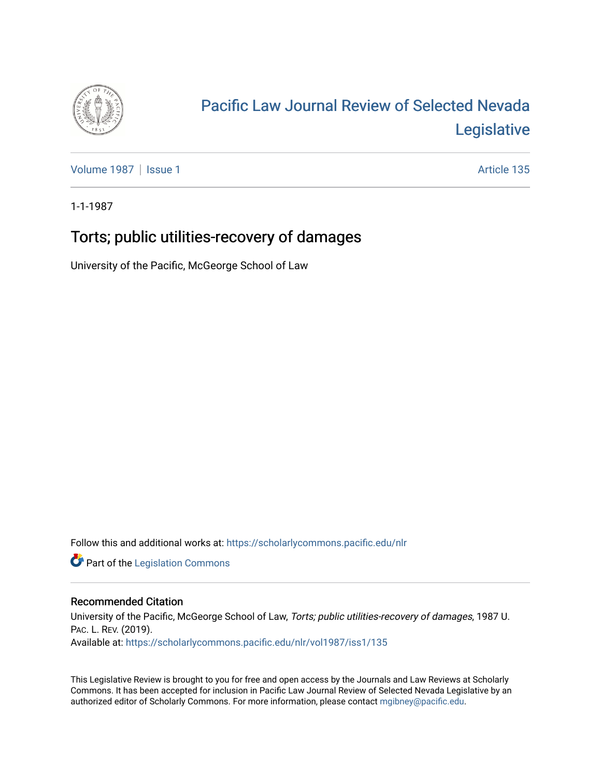

# [Pacific Law Journal Review of Selected Nevada](https://scholarlycommons.pacific.edu/nlr)  [Legislative](https://scholarlycommons.pacific.edu/nlr)

[Volume 1987](https://scholarlycommons.pacific.edu/nlr/vol1987) | [Issue 1](https://scholarlycommons.pacific.edu/nlr/vol1987/iss1) Article 135

1-1-1987

## Torts; public utilities-recovery of damages

University of the Pacific, McGeorge School of Law

Follow this and additional works at: [https://scholarlycommons.pacific.edu/nlr](https://scholarlycommons.pacific.edu/nlr?utm_source=scholarlycommons.pacific.edu%2Fnlr%2Fvol1987%2Fiss1%2F135&utm_medium=PDF&utm_campaign=PDFCoverPages) 

**Part of the [Legislation Commons](http://network.bepress.com/hgg/discipline/859?utm_source=scholarlycommons.pacific.edu%2Fnlr%2Fvol1987%2Fiss1%2F135&utm_medium=PDF&utm_campaign=PDFCoverPages)** 

### Recommended Citation

University of the Pacific, McGeorge School of Law, Torts; public utilities-recovery of damages, 1987 U. PAC. L. REV. (2019). Available at: [https://scholarlycommons.pacific.edu/nlr/vol1987/iss1/135](https://scholarlycommons.pacific.edu/nlr/vol1987/iss1/135?utm_source=scholarlycommons.pacific.edu%2Fnlr%2Fvol1987%2Fiss1%2F135&utm_medium=PDF&utm_campaign=PDFCoverPages) 

This Legislative Review is brought to you for free and open access by the Journals and Law Reviews at Scholarly Commons. It has been accepted for inclusion in Pacific Law Journal Review of Selected Nevada Legislative by an authorized editor of Scholarly Commons. For more information, please contact [mgibney@pacific.edu](mailto:mgibney@pacific.edu).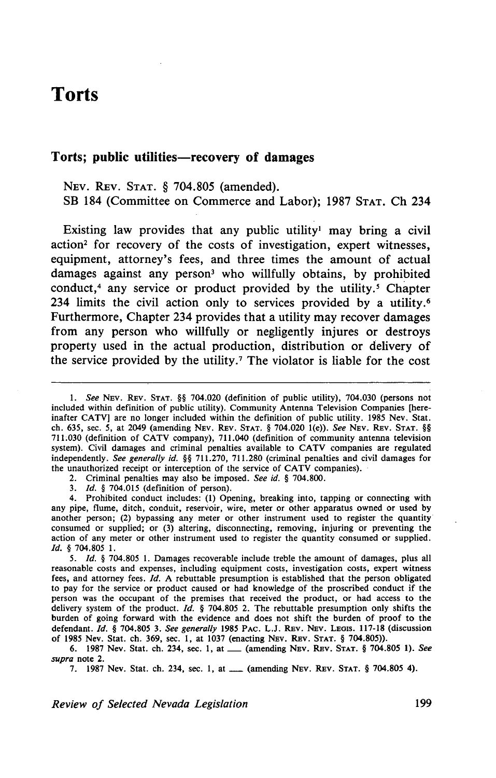### **Torts**

### Torts; public utilities—recovery of damages

NEv. REv. STAT. § 704.805 (amended). SB 184 (Committee on Commerce and Labor); 1987 STAT. Ch 234

Existing law provides that any public utility<sup>1</sup> may bring a civil action<sup>2</sup> for recovery of the costs of investigation, expert witnesses, equipment, attorney's fees, and three times the amount of actual damages against any person<sup>3</sup> who willfully obtains, by prohibited conduct, $4$  any service or product provided by the utility. $5$  Chapter 234 limits the civil action only to services provided by a utility.<sup>6</sup> Furthermore, Chapter 234 provides that a utility may recover damages from any person who willfully or negligently injures or destroys property used in the actual production, distribution or delivery of the service provided by the utility.<sup>7</sup> The violator is liable for the cost

1. *See* NEv. REv. STAT. §§ 704.020 (definition of public utility), 704.030 (persons not included within definition of public utility). Community Antenna Television Companies [hereinafter CATV] are no longer included within the definition of public utility. 1985 Nev. Stat. ch. 635, sec. 5, at 2049 (amending NEv. REv. STAT. § 704.020 1(e)). *See* NEv. REv. STAT. §§ 711.030 (definition of CATV company), 711.040 (definition of community antenna television system). Civil damages and criminal penalties available to CATV companies are regulated independently. *See generally id.* §§ 711.270, 711.280 (criminal penalties and civil damages for the unauthorized receipt or interception of the service of CATV companies).

2. Criminal penalties may also be imposed. *See id.* § 704.800.

3. */d.* § 704.015 (definition of person).

4. Prohibited conduct includes: (1) Opening, breaking into, tapping or connecting with any pipe, flume, ditch, conduit, reservoir, wire, meter or other apparatus owned or used by another person; (2) bypassing any meter or other instrument used to register the quantity consumed or supplied; or (3) altering, disconnecting, removing, injuring or preventing the action of any meter or other instrument used to register the quantity consumed or supplied. /d. § 704.805 1.

5. *Id.* § 704.805 1. Damages recoverable include treble the amount of damages, plus all reasonable costs and expenses, including equipment costs, investigation costs, expert witness fees, and attorney fees. *Id*. A rebuttable presumption is established that the person obligated to pay for the service or product caused or had knowledge of the proscribed conduct if the person was the occupant of the premises that received the product, or had access to the delivery system of the product.  $Id. \$  704.805 2. The rebuttable presumption only shifts the burden of going forward with the evidence and does not shift the burden of proof to the defendant. *Id.* § 704.805 3. See generally 1985 PAC. L.J. REV. NEV. LEOIS. 117-18 (discussion of 1985 Nev. Stat. ch. 369, sec. 1, at 1037 (enacting NEv. REv. STAT. § 704.805)).

6. 1987 Nev. Stat. ch. 234, sec. 1, at\_ (amending NEv. REv. STAT. § 704.805 1). *See supra* note 2.

7. 1987 Nev. Stat. ch. 234, sec. 1, at ...... (amending NEV. REV. STAT. § 704.805 4).

*Review of Selected Nevada Legislation* 199